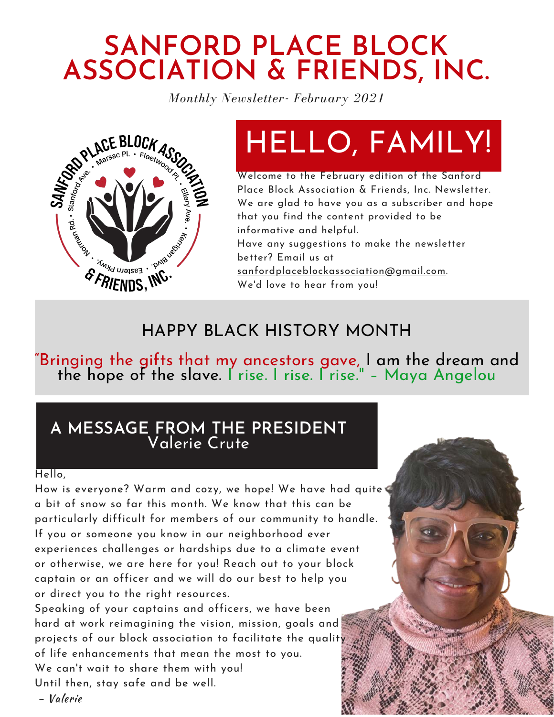## **SANFORD PLACE BLOCK ASSOCIATION & FRIENDS, INC.**

*Monthly Newsletter- February 2021*



## HELLO, FAMILY!

Welcome to the February edition of the Sanford Place Block Association & Friends, Inc. Newsletter. We are glad to have you as a subscriber and hope that you find the content provided to be informative and helpful. Have any suggestions to make the newsletter

better? Email us at [sanfordplaceblockassociation@gmail.com](http://gmail.com/).

We'd love to hear from you!

### HAPPY BLACK HISTORY MONTH

"Bringing the gifts that my ancestors gave, I am the dream and the hope of the slave. I rise. I rise. I rise." – Maya Angelou

### **A MESSAGE FROM THE PRESIDENT** Valerie Crute

#### Hello,

How is everyone? Warm and cozy, we hope! We have had quite a bit of snow so far this month. We know that this can be particularly difficult for members of our community to handle. If you or someone you know in our neighborhood ever experiences challenges or hardships due to a climate event or otherwise, we are here for you! Reach out to your block captain or an officer and we will do our best to help you or direct you to the right resources.

Speaking of your captains and officers, we have been hard at work reimagining the vision, mission, goals and projects of our block association to facilitate the quality of life enhancements that mean the most to you. We can't wait to share them with you! Until then, stay safe and be well.

- Valerie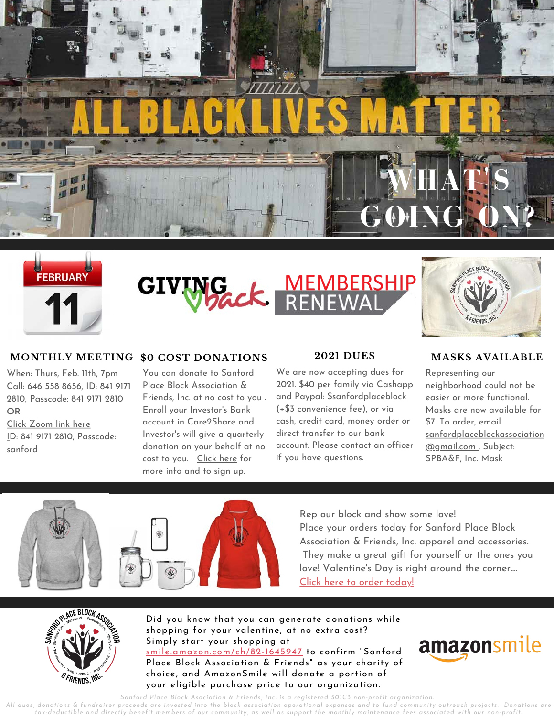





#### **MONTHLY MEETING \$0 COST DONATIONS**

When: Thurs, Feb. 11th, 7pm Call: 646 558 8656, ID: 841 9171 2810, Passcode: 841 9171 2810 **OR**

[Click Zoom link here](https://us02web.zoom.us/j/84191712810?pwd=V0k1WkFMdTB5azdTR0dpSmhiMUtHdz09) ID: 841 9171 2810, Passcode: sanford

**\$0 COST DONATIONS 2021 DUI**<br>You can donate to Sanford **We are now accepting**<br>Place Block Association & 2021. \$40 per family<br>Friends, Inc. at no cost to you and Paypal: \$sanford<br>Enroll your Investor's Bank (+\$3 convenien You can donate to Sanford Place Block Association & Friends, Inc. at no cost to you . Enroll your Investor's Bank account in Care2Share and Investor's will give a quarterly donation on your behalf at no cost to you. [Click here](https://www.myinvestorsbank.com/community/care2share) for more info and to sign up.

#### **2021 DUES**

We are now accepting dues for 2021. \$40 per family via Cashapp and Paypal: \$sanfordplaceblock (+\$3 convenience fee), or via cash, credit card, money order or direct transfer to our bank account. Please contact an officer

#### **MASKS AVAILABLE**

Representing our neighborhood could not be easier or more functional. Masks are now available for \$7. To order, email [sanfordplaceblockassociation](http://gmail.com/) @gmail.com , Subject: SPBA&F, Inc. Mask



Rep our block and show some love! Place your orders today for Sanford Place Block Association & Friends, Inc. apparel and accessories. They make a great gift for yourself or the ones you love! Valentine's Day is right around the corner.... [Click here to order today!](https://shop.spreadshirt.com/SanfordPlaceBlockAssociation/)



Did you know that you can generate donations while shopping for your valentine, at no extra cost? Simply start your shopping at [smile.amazon.com/ch/82-1645947](http://smile.amazon.com/ch/82-1645947) to confirm "Sanford Place Block Association & Friends" as your charity of choice, and AmazonSmile will donate a portion of your eligible purchase price to our organization.



*Sanford Place Block Asociation & Friends, Inc. is a registered 501C3 non-profit organization.*

*All dues, donations & fundraiser proceeds are invested into the block association operational expenses and to fund community outreach projects. Donations are tax-deductible and directly benefit members of our community, as well as support the monthly maintenance fees associated with our non-profit.*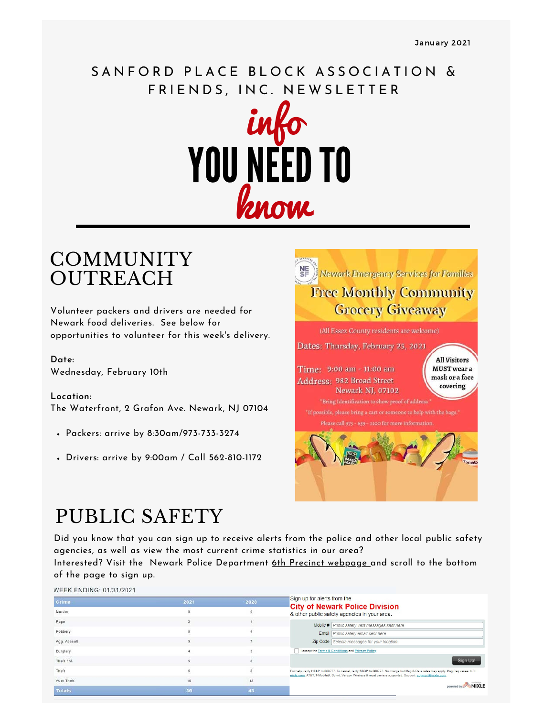### SANFORD PLACE BLOCK ASSOCIATION & FRIENDS, INC. NEWSLETTER



### **COMMUNITY OUTREACH**

Volunteer packers and drivers are needed for Newark food deliveries. See below for opportunities to volunteer for this week's delivery.

**Date:** Wednesday, February 10th

**Location:** The Waterfront, 2 Grafon Ave. Newark, NJ 07104

- Packers: arrive by 8:30am/973-733-3274
- Drivers: arrive by 9:00am / Call 562-810-1172



### PUBLIC SAFETY

Did you know that you can sign up to receive alerts from the police and other local public safety agencies, as well as view the most current crime statistics in our area?

Interested? Visit the Newark Police Department [6th Precinct webpage a](https://npd.newarkpublicsafety.org/precincts/sixth)nd scroll to the bottom of the page to sign up.

WEEK ENDING: 01/31/2021

| 2021 | 2020 | Sign up for alerts from the                                                                                                                                                                                                                               |
|------|------|-----------------------------------------------------------------------------------------------------------------------------------------------------------------------------------------------------------------------------------------------------------|
|      |      | <b>City of Newark Police Division</b><br>& other public safety agencies in your area.                                                                                                                                                                     |
|      |      | Mobile # Public safety Text messages sent here                                                                                                                                                                                                            |
|      |      | Email   Public safety email sent here                                                                                                                                                                                                                     |
|      |      | Zip Code Selects messages for your location                                                                                                                                                                                                               |
|      |      | I accept the Terms & Conditions and Privacy Policy                                                                                                                                                                                                        |
|      |      | Sign Up!                                                                                                                                                                                                                                                  |
|      |      | For help, reply HELP to 888777. To cancel, reply STOP to 888777. No charge but Msg & Data rates may apply. Msg freq varies. Info:<br>nixle.com. AT&T, T-Mobile®, Sprint, Verizon Wireless & most carriers supported. Support: support@nixle.com.<br>NIXLE |
| 10   | 12   |                                                                                                                                                                                                                                                           |
|      |      |                                                                                                                                                                                                                                                           |
|      |      |                                                                                                                                                                                                                                                           |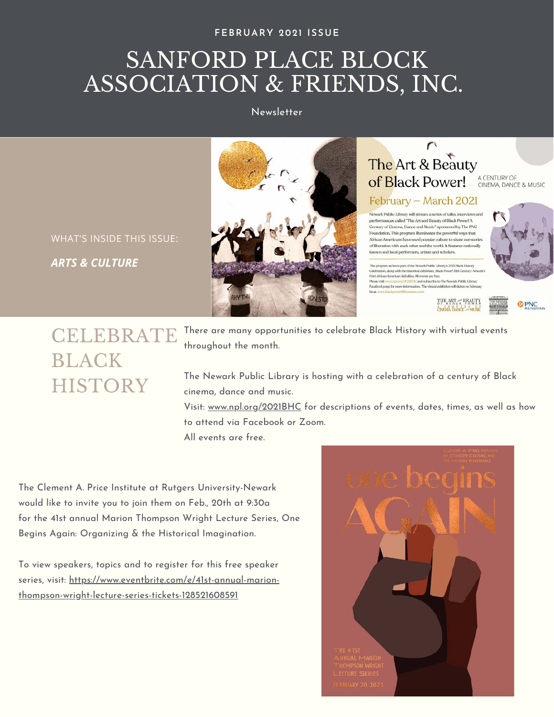#### **FEBRUARY 2021 ISSUE**

### SANFORD PLACE BLOCK ASSOCIATION & FRIENDS, INC.

Newsletter





#### $\sim$ The Art & Beauty A CENTURY OF<br>CINEMA, DANCE & MUSIC of Black Power!

### February - March 2021

Newark Public Library will stream a series of talks, interviews and performances called "The Art and Beauty of Black Power! A .<br>Century of Cinema, Dance and Music" sponsored by The PNC Foundation. This program illuminates the powerful ways that African Americans have used popular culture to share our storie of liberation with each other and the world. It features nationally known and local performers, artists and scholars.

m series is part of the Newark Public Library's 2021 Black History Celebration, along with the historical exhibition, Black Power! 19th Century: First African American Rebellion. All events are free. is *pursuan pursua an incomination on* events are tree.<br>ase visit www.ry<mark>d.org/20200140</mark> and subscribe to The Newark Public Library<br>adoosk page for more information. The virtual exhibition will debut on Febra



#### **@PNC**

### **CELEBRATE** BLACK **HISTORY**

There are many opportunities to celebrate Black History with virtual events throughout the month.

The Newark Public Library is hosting with a celebration of a century of Black cinema, dance and music.

Visit: [www.npl.org/2021BHC](https://npl.org/2021BHC/) for descriptions of events, dates, times, as well as how to attend via Facebook or Zoom. All events are free.

The Clement A. Price Institute at Rutgers University-Newark would like to invite you to join them on Feb., 20th at 9:30a for the 41st annual Marion Thompson Wright Lecture Series, One Begins Again: Organizing & the Historical Imagination.

To view speakers, topics and to register for this free speaker [series, visit: https://www.eventbrite.com/e/41st-annual-marion](https://www.eventbrite.com/e/41st-annual-marion-thompson-wright-lecture-series-tickets-128521608591)thompson-wright-lecture-series-tickets-128521608591